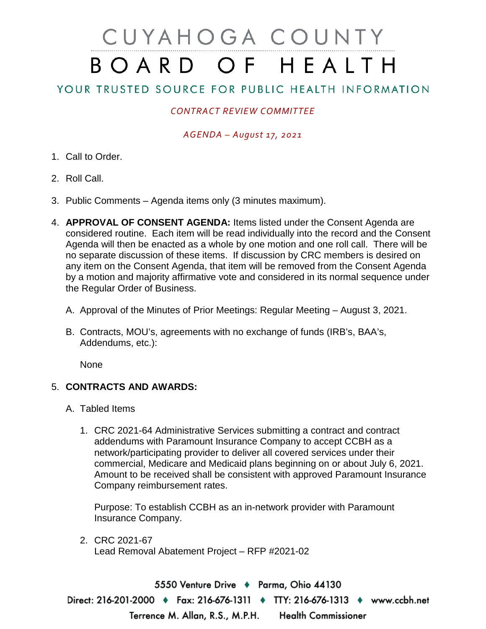# CUYAHOGA COUNTY BOARD OF HEALTH

# YOUR TRUSTED SOURCE FOR PUBLIC HEALTH INFORMATION

## *CONTRACT REVIEW COMMITTEE*

## *AGENDA – August 17, 2021*

- 1. Call to Order.
- 2. Roll Call.
- 3. Public Comments Agenda items only (3 minutes maximum).
- 4. **APPROVAL OF CONSENT AGENDA:** Items listed under the Consent Agenda are considered routine. Each item will be read individually into the record and the Consent Agenda will then be enacted as a whole by one motion and one roll call. There will be no separate discussion of these items. If discussion by CRC members is desired on any item on the Consent Agenda, that item will be removed from the Consent Agenda by a motion and majority affirmative vote and considered in its normal sequence under the Regular Order of Business.
	- A. Approval of the Minutes of Prior Meetings: Regular Meeting August 3, 2021.
	- B. Contracts, MOU's, agreements with no exchange of funds (IRB's, BAA's, Addendums, etc.):

None

### 5. **CONTRACTS AND AWARDS:**

- A. Tabled Items
	- 1. CRC 2021-64 Administrative Services submitting a contract and contract addendums with Paramount Insurance Company to accept CCBH as a network/participating provider to deliver all covered services under their commercial, Medicare and Medicaid plans beginning on or about July 6, 2021. Amount to be received shall be consistent with approved Paramount Insurance Company reimbursement rates.

Purpose: To establish CCBH as an in-network provider with Paramount Insurance Company.

2. CRC 2021-67 Lead Removal Abatement Project – RFP #2021-02

5550 Venture Drive + Parma, Ohio 44130 Direct: 216-201-2000 ♦ Fax: 216-676-1311 ♦ TTY: 216-676-1313 ♦ www.ccbh.net Terrence M. Allan, R.S., M.P.H. **Health Commissioner**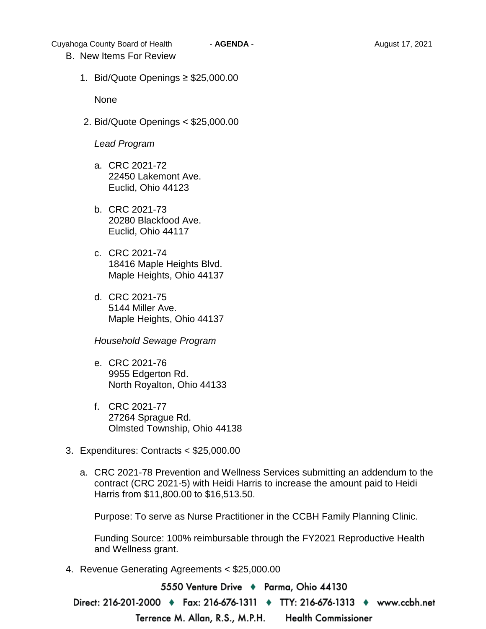#### B. New Items For Review

1. Bid/Quote Openings ≥ \$25,000.00

None

2. Bid/Quote Openings < \$25,000.00

#### *Lead Program*

- a. CRC 2021-72 22450 Lakemont Ave. Euclid, Ohio 44123
- b. CRC 2021-73 20280 Blackfood Ave. Euclid, Ohio 44117
- c. CRC 2021-74 18416 Maple Heights Blvd. Maple Heights, Ohio 44137
- d. CRC 2021-75 5144 Miller Ave. Maple Heights, Ohio 44137

*Household Sewage Program* 

- e. CRC 2021-76 9955 Edgerton Rd. North Royalton, Ohio 44133
- f. CRC 2021-77 27264 Sprague Rd. Olmsted Township, Ohio 44138
- 3. Expenditures: Contracts < \$25,000.00
	- a. CRC 2021-78 Prevention and Wellness Services submitting an addendum to the contract (CRC 2021-5) with Heidi Harris to increase the amount paid to Heidi Harris from \$11,800.00 to \$16,513.50.

Purpose: To serve as Nurse Practitioner in the CCBH Family Planning Clinic.

Funding Source: 100% reimbursable through the FY2021 Reproductive Health and Wellness grant.

4. Revenue Generating Agreements < \$25,000.00

5550 Venture Drive ♦ Parma, Ohio 44130

Direct: 216-201-2000 ♦ Fax: 216-676-1311 ♦ TTY: 216-676-1313 ♦ www.ccbh.net

Terrence M. Allan, R.S., M.P.H.

**Health Commissioner**